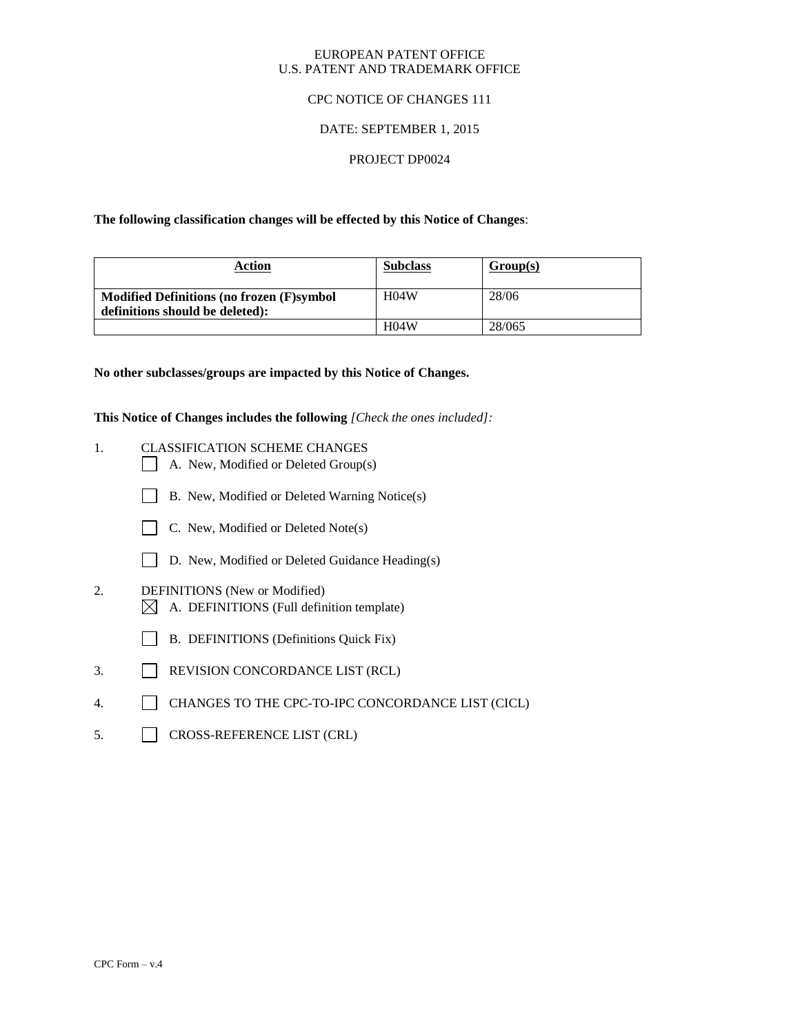### EUROPEAN PATENT OFFICE U.S. PATENT AND TRADEMARK OFFICE

## CPC NOTICE OF CHANGES 111

# DATE: SEPTEMBER 1, 2015

## PROJECT DP0024

**The following classification changes will be effected by this Notice of Changes**:

| Action                                                                       | <b>Subclass</b>   | Group(s) |
|------------------------------------------------------------------------------|-------------------|----------|
| Modified Definitions (no frozen (F)symbol<br>definitions should be deleted): | H <sub>04</sub> W | 28/06    |
|                                                                              | H <sub>04</sub> W | 28/065   |

### **No other subclasses/groups are impacted by this Notice of Changes.**

**This Notice of Changes includes the following** *[Check the ones included]:*

- 1. CLASSIFICATION SCHEME CHANGES
	- A. New, Modified or Deleted Group(s)
	- B. New, Modified or Deleted Warning Notice(s)
	- $\Box$  C. New, Modified or Deleted Note(s)
	- D. New, Modified or Deleted Guidance Heading(s)
- 2. DEFINITIONS (New or Modified)  $\boxtimes$  A. DEFINITIONS (Full definition template)
	- B. DEFINITIONS (Definitions Quick Fix)
- 3. REVISION CONCORDANCE LIST (RCL)
- 4. CHANGES TO THE CPC-TO-IPC CONCORDANCE LIST (CICL)
- 5. CROSS-REFERENCE LIST (CRL)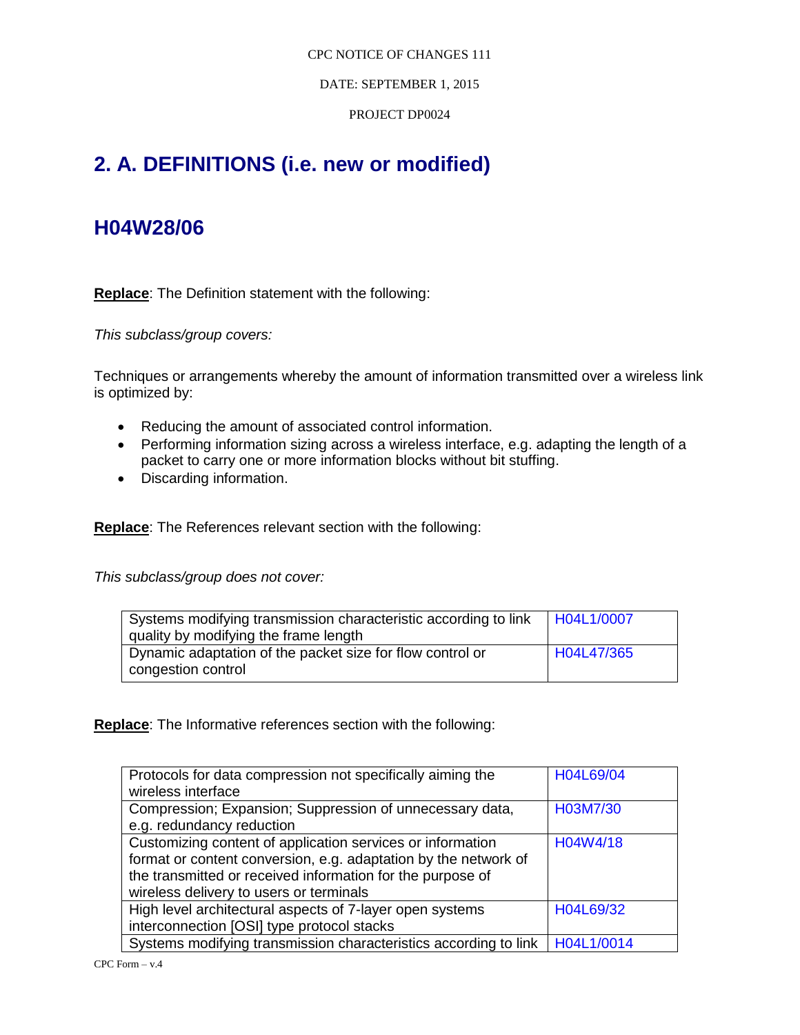## CPC NOTICE OF CHANGES 111

DATE: SEPTEMBER 1, 2015

PROJECT DP0024

# **2. A. DEFINITIONS (i.e. new or modified)**

# **H04W28/06**

**Replace**: The Definition statement with the following:

*This subclass/group covers:*

Techniques or arrangements whereby the amount of information transmitted over a wireless link is optimized by:

- Reducing the amount of associated control information.
- Performing information sizing across a wireless interface, e.g. adapting the length of a packet to carry one or more information blocks without bit stuffing.
- Discarding information.

**Replace**: The References relevant section with the following:

*This subclass/group does not cover:*

| Systems modifying transmission characteristic according to link | H04L1/0007 |
|-----------------------------------------------------------------|------------|
| quality by modifying the frame length                           |            |
| Dynamic adaptation of the packet size for flow control or       | H04L47/365 |
| congestion control                                              |            |

**Replace**: The Informative references section with the following:

| Protocols for data compression not specifically aiming the       | H04L69/04  |
|------------------------------------------------------------------|------------|
| wireless interface                                               |            |
| Compression; Expansion; Suppression of unnecessary data,         | H03M7/30   |
| e.g. redundancy reduction                                        |            |
| Customizing content of application services or information       | H04W4/18   |
| format or content conversion, e.g. adaptation by the network of  |            |
| the transmitted or received information for the purpose of       |            |
| wireless delivery to users or terminals                          |            |
| High level architectural aspects of 7-layer open systems         | H04L69/32  |
| interconnection [OSI] type protocol stacks                       |            |
| Systems modifying transmission characteristics according to link | H04L1/0014 |